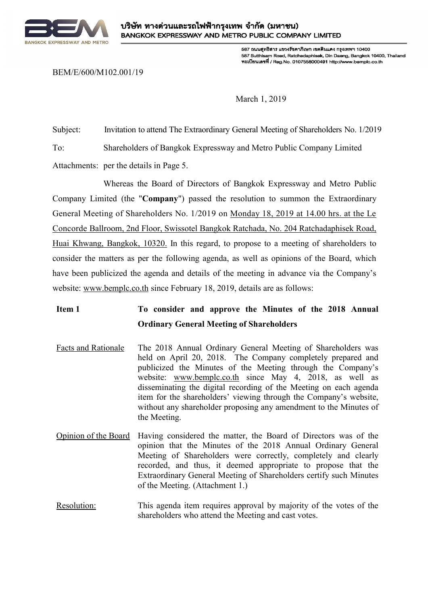

587 ถนนสทธิสาร แขวงรัชดาภิเษก เขตดินแดง กรงเทพฯ 10400 587 Sutthisam Road, Ratchadaphisek, Din Daeng, Bangkok 10400, Thailand ทะเบียนเลขที่ / Reg.No. 0107558000491 http://www.bemplc.co.th

BEM/E/600/M102.001/19

March 1, 2019

Subject: Invitation to attend The Extraordinary General Meeting of Shareholders No. 1/2019 To: Shareholders of Bangkok Expressway and Metro Public Company Limited Attachments: per the details in Page 5.

Whereas the Board of Directors of Bangkok Expressway and Metro Public Company Limited (the "**Company**") passed the resolution to summon the Extraordinary General Meeting of Shareholders No. 1/2019 on Monday 18, 2019 at 14.00 hrs. at the Le Concorde Ballroom, 2nd Floor, Swissotel Bangkok Ratchada, No. 204 Ratchadaphisek Road, Huai Khwang, Bangkok, 10320. In this regard, to propose to a meeting of shareholders to

consider the matters as per the following agenda, as well as opinions of the Board, which have been publicized the agenda and details of the meeting in advance via the Company's website: www.bemplc.co.th since February 18, 2019, details are as follows:

## **Item 1 To consider and approve the Minutes of the 2018 Annual Ordinary General Meeting of Shareholders**

- Facts and Rationale The 2018 Annual Ordinary General Meeting of Shareholders was held on April 20, 2018. The Company completely prepared and publicized the Minutes of the Meeting through the Company's website: www.bemplc.co.th since May 4, 2018, as well as disseminating the digital recording of the Meeting on each agenda item for the shareholders' viewing through the Company's website, without any shareholder proposing any amendment to the Minutes of the Meeting.
- Opinion of the Board Having considered the matter, the Board of Directors was of the opinion that the Minutes of the 2018 Annual Ordinary General Meeting of Shareholders were correctly, completely and clearly recorded, and thus, it deemed appropriate to propose that the Extraordinary General Meeting of Shareholders certify such Minutes of the Meeting. (Attachment 1.)
- Resolution: This agenda item requires approval by majority of the votes of the shareholders who attend the Meeting and cast votes.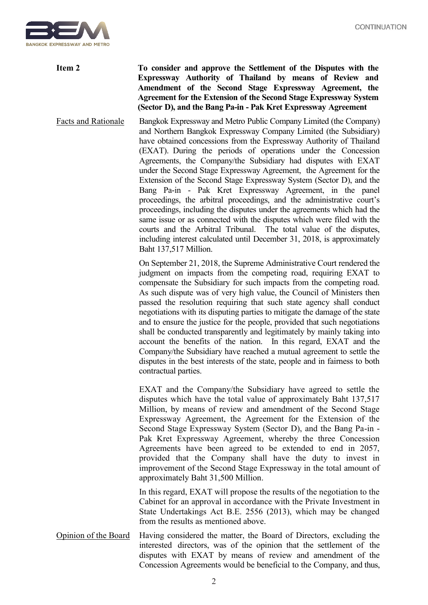

**Item 2 To consider and approve the Settlement of the Disputes with the Expressway Authority of Thailand by means of Review and Amendment of the Second Stage Expressway Agreement, the Agreement for the Extension of the Second Stage Expressway System (Sector D), and the Bang Pa-in - Pak Kret Expressway Agreement**

Facts and Rationale Bangkok Expressway and Metro Public Company Limited (the Company) and Northern Bangkok Expressway Company Limited (the Subsidiary) have obtained concessions from the Expressway Authority of Thailand (EXAT). During the periods of operations under the Concession Agreements, the Company/the Subsidiary had disputes with EXAT under the Second Stage Expressway Agreement, the Agreement for the Extension of the Second Stage Expressway System (Sector D), and the Bang Pa-in - Pak Kret Expressway Agreement, in the panel proceedings, the arbitral proceedings, and the administrative court's proceedings, including the disputes under the agreements which had the same issue or as connected with the disputes which were filed with the courts and the Arbitral Tribunal. The total value of the disputes, including interest calculated until December 31, 2018, is approximately Baht 137,517 Million.

> On September 21, 2018, the Supreme Administrative Court rendered the judgment on impacts from the competing road, requiring EXAT to compensate the Subsidiary for such impacts from the competing road. As such dispute was of very high value, the Council of Ministers then passed the resolution requiring that such state agency shall conduct negotiations with its disputing parties to mitigate the damage of the state and to ensure the justice for the people, provided that such negotiations shall be conducted transparently and legitimately by mainly taking into account the benefits of the nation. In this regard, EXAT and the Company/the Subsidiary have reached a mutual agreement to settle the disputes in the best interests of the state, people and in fairness to both contractual parties.

> EXAT and the Company/the Subsidiary have agreed to settle the disputes which have the total value of approximately Baht 137,517 Million, by means of review and amendment of the Second Stage Expressway Agreement, the Agreement for the Extension of the Second Stage Expressway System (Sector D), and the Bang Pa-in - Pak Kret Expressway Agreement, whereby the three Concession Agreements have been agreed to be extended to end in 2057, provided that the Company shall have the duty to invest in improvement of the Second Stage Expressway in the total amount of approximately Baht 31,500 Million.

> In this regard, EXAT will propose the results of the negotiation to the Cabinet for an approval in accordance with the Private Investment in State Undertakings Act B.E. 2556 (2013), which may be changed from the results as mentioned above.

Opinion of the Board Having considered the matter, the Board of Directors, excluding the interested directors, was of the opinion that the settlement of the disputes with EXAT by means of review and amendment of the Concession Agreements would be beneficial to the Company, and thus,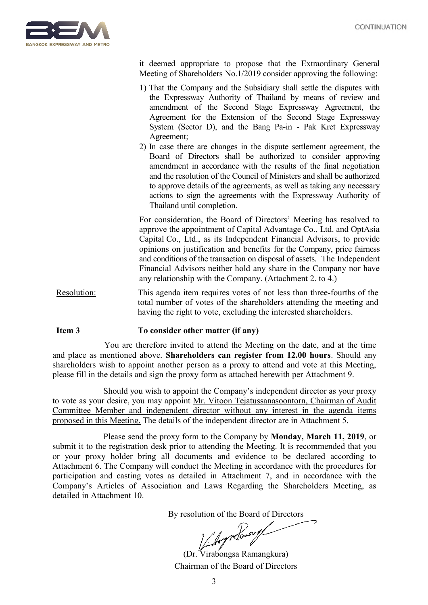

it deemed appropriate to propose that the Extraordinary General Meeting of Shareholders No.1/2019 consider approving the following:

- 1) That the Company and the Subsidiary shall settle the disputes with the Expressway Authority of Thailand by means of review and amendment of the Second Stage Expressway Agreement, the Agreement for the Extension of the Second Stage Expressway System (Sector D), and the Bang Pa-in - Pak Kret Expressway Agreement;
- 2) In case there are changes in the dispute settlement agreement, the Board of Directors shall be authorized to consider approving amendment in accordance with the results of the final negotiation and the resolution of the Council of Ministers and shall be authorized to approve details of the agreements, as well as taking any necessary actions to sign the agreements with the Expressway Authority of Thailand until completion.

For consideration, the Board of Directors' Meeting has resolved to approve the appointment of Capital Advantage Co., Ltd. and OptAsia Capital Co., Ltd., as its Independent Financial Advisors, to provide opinions on justification and benefits for the Company, price fairness and conditions of the transaction on disposal of assets. The Independent Financial Advisors neither hold any share in the Company nor have any relationship with the Company. (Attachment 2. to 4.)

Resolution: This agenda item requires votes of not less than three-fourths of the total number of votes of the shareholders attending the meeting and having the right to vote, excluding the interested shareholders.

## **Item 3 To consider other matter (if any)**

You are therefore invited to attend the Meeting on the date, and at the time and place as mentioned above. **Shareholders can register from 12.00 hours**. Should any shareholders wish to appoint another person as a proxy to attend and vote at this Meeting, please fill in the details and sign the proxy form as attached herewith per Attachment 9.

Should you wish to appoint the Company's independent director as your proxy to vote as your desire, you may appoint Mr. Vitoon Tejatussanasoontorn, Chairman of Audit Committee Member and independent director without any interest in the agenda items proposed in this Meeting. The details of the independent director are in Attachment 5.

Please send the proxy form to the Company by **Monday, March 11, 2019**, or submit it to the registration desk prior to attending the Meeting. It is recommended that you or your proxy holder bring all documents and evidence to be declared according to Attachment 6. The Company will conduct the Meeting in accordance with the procedures for participation and casting votes as detailed in Attachment 7, and in accordance with the Company's Articles of Association and Laws Regarding the Shareholders Meeting, as detailed in Attachment 10.

By resolution of the Board of Directors<br>  $\frac{1}{2}$ 

(Dr. Virabongsa Ramangkura) Chairman of the Board of Directors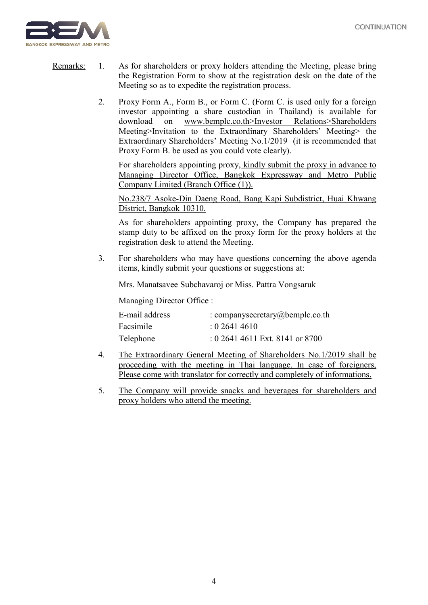

- Remarks: 1. As for shareholders or proxy holders attending the Meeting, please bring the Registration Form to show at the registration desk on the date of the Meeting so as to expedite the registration process.
	- 2. Proxy Form A., Form B., or Form C. (Form C. is used only for a foreign investor appointing a share custodian in Thailand) is available for download on www.bemplc.co.th>Investor Relations>Shareholders Meeting>Invitation to the Extraordinary Shareholders' Meeting> the Extraordinary Shareholders' Meeting No.1/2019 (it is recommended that Proxy Form B. be used as you could vote clearly).

For shareholders appointing proxy, kindly submit the proxy in advance to Managing Director Office, Bangkok Expressway and Metro Public Company Limited (Branch Office (1)).

No.238/7 Asoke-Din Daeng Road, Bang Kapi Subdistrict, Huai Khwang District, Bangkok 10310.

As for shareholders appointing proxy, the Company has prepared the stamp duty to be affixed on the proxy form for the proxy holders at the registration desk to attend the Meeting.

3. For shareholders who may have questions concerning the above agenda items, kindly submit your questions or suggestions at:

Mrs. Manatsavee Subchavaroj or Miss. Pattra Vongsaruk

Managing Director Office :

| E-mail address | : companysecretary@bemplc.co.th   |
|----------------|-----------------------------------|
| Facsimile      | : 0.26414610                      |
| Telephone      | $: 0.2641$ 4611 Ext. 8141 or 8700 |

- 4. The Extraordinary General Meeting of Shareholders No.1/2019 shall be proceeding with the meeting in Thai language. In case of foreigners, Please come with translator for correctly and completely of informations.
- 5. The Company will provide snacks and beverages for shareholders and proxy holders who attend the meeting.